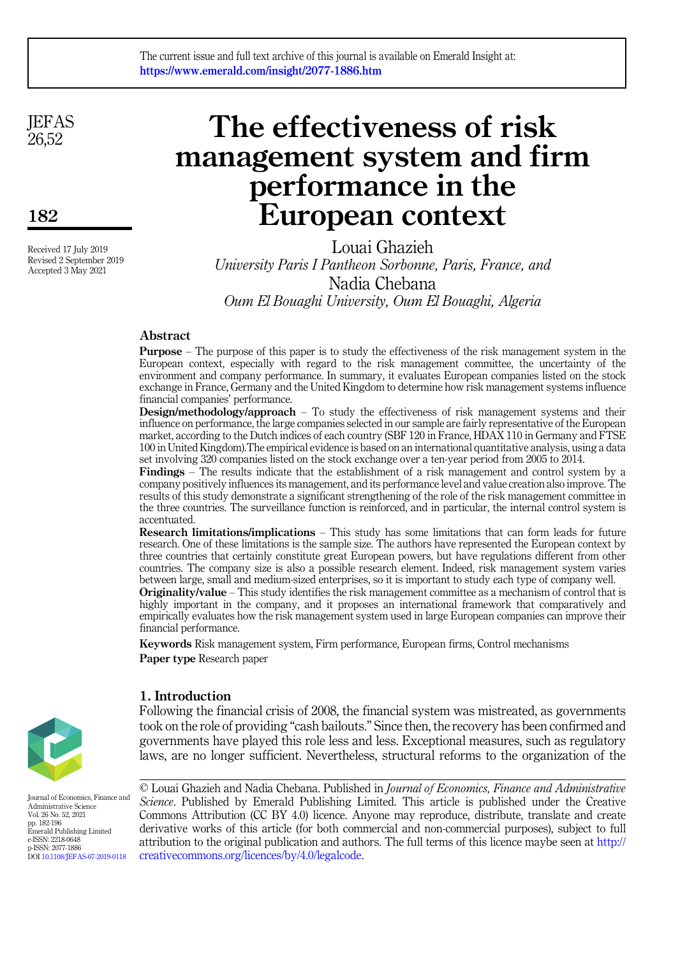**JEFAS** 26,52

182

Received 17 July 2019 Revised 2 September 2019 Accepted 3 May 2021

# The effectiveness of risk management system and firm performance in the European context

Louai Ghazieh University Paris I Pantheon Sorbonne, Paris, France, and Nadia Chebana Oum El Bouaghi University, Oum El Bouaghi, Algeria

# Abstract

Purpose – The purpose of this paper is to study the effectiveness of the risk management system in the European context, especially with regard to the risk management committee, the uncertainty of the environment and company performance. In summary, it evaluates European companies listed on the stock exchange in France, Germany and the United Kingdom to determine how risk management systems influence financial companies' performance.

Design/methodology/approach - To study the effectiveness of risk management systems and their influence on performance, the large companies selected in our sample are fairly representative of the European market, according to the Dutch indices of each country (SBF 120 in France, HDAX 110 in Germany and FTSE 100 in United Kingdom).The empirical evidence is based on an international quantitative analysis, using a data set involving 320 companies listed on the stock exchange over a ten-year period from 2005 to 2014.

Findings – The results indicate that the establishment of a risk management and control system by a company positively influences its management, and its performance level and value creation also improve. The results of this study demonstrate a significant strengthening of the role of the risk management committee in the three countries. The surveillance function is reinforced, and in particular, the internal control system is accentuated.

Research limitations/implications – This study has some limitations that can form leads for future research. One of these limitations is the sample size. The authors have represented the European context by three countries that certainly constitute great European powers, but have regulations different from other countries. The company size is also a possible research element. Indeed, risk management system varies between large, small and medium-sized enterprises, so it is important to study each type of company well.

**Originality/value** – This study identifies the risk management committee as a mechanism of control that is highly important in the company, and it proposes an international framework that comparatively and empirically evaluates how the risk management system used in large European companies can improve their financial performance.

Keywords Risk management system, Firm performance, European firms, Control mechanisms Paper type Research paper



1. Introduction

Following the financial crisis of 2008, the financial system was mistreated, as governments took on the role of providing "cash bailouts." Since then, the recovery has been confirmed and governments have played this role less and less. Exceptional measures, such as regulatory laws, are no longer sufficient. Nevertheless, structural reforms to the organization of the

Journal of Economics, Finance and Administrative Science Vol. 26 No. 52, 2021 pp. 182-196 Emerald Publishing Limited e-ISSN: 2218-0648 p-ISSN: 2077-1886 DOI [10.1108/JEFAS-07-2019-0118](https://doi.org/10.1108/JEFAS-07-2019-0118)

© Louai Ghazieh and Nadia Chebana. Published in Journal of Economics, Finance and Administrative Science. Published by Emerald Publishing Limited. This article is published under the Creative Commons Attribution (CC BY 4.0) licence. Anyone may reproduce, distribute, translate and create derivative works of this article (for both commercial and non-commercial purposes), subject to full attribution to the original publication and authors. The full terms of this licence maybe seen at [http://](http://creativecommons.org/licences/by/4.0/legalcode) [creativecommons.org/licences/by/4.0/legalcode](http://creativecommons.org/licences/by/4.0/legalcode).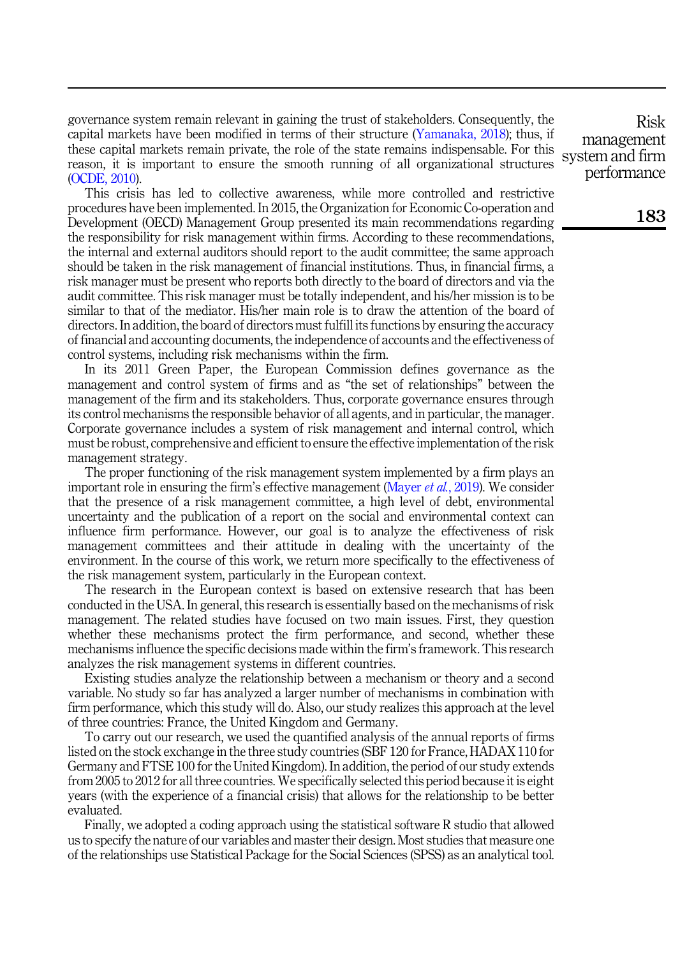governance system remain relevant in gaining the trust of stakeholders. Consequently, the capital markets have been modified in terms of their structure ([Yamanaka, 2018\)](#page-13-0); thus, if these capital markets remain private, the role of the state remains indispensable. For this reason, it is important to ensure the smooth running of all organizational structures ([OCDE, 2010\)](#page-12-0).

This crisis has led to collective awareness, while more controlled and restrictive procedures have been implemented. In 2015, the Organization for Economic Co-operation and Development (OECD) Management Group presented its main recommendations regarding the responsibility for risk management within firms. According to these recommendations, the internal and external auditors should report to the audit committee; the same approach should be taken in the risk management of financial institutions. Thus, in financial firms, a risk manager must be present who reports both directly to the board of directors and via the audit committee. This risk manager must be totally independent, and his/her mission is to be similar to that of the mediator. His/her main role is to draw the attention of the board of directors. In addition, the board of directors must fulfill its functions by ensuring the accuracy of financial and accounting documents, the independence of accounts and the effectiveness of control systems, including risk mechanisms within the firm.

In its 2011 Green Paper, the European Commission defines governance as the management and control system of firms and as "the set of relationships" between the management of the firm and its stakeholders. Thus, corporate governance ensures through its control mechanisms the responsible behavior of all agents, and in particular, the manager. Corporate governance includes a system of risk management and internal control, which must be robust, comprehensive and efficient to ensure the effective implementation of the risk management strategy.

The proper functioning of the risk management system implemented by a firm plays an important role in ensuring the firm's effective management [\(Mayer](#page-12-1) et al., 2019). We consider that the presence of a risk management committee, a high level of debt, environmental uncertainty and the publication of a report on the social and environmental context can influence firm performance. However, our goal is to analyze the effectiveness of risk management committees and their attitude in dealing with the uncertainty of the environment. In the course of this work, we return more specifically to the effectiveness of the risk management system, particularly in the European context.

The research in the European context is based on extensive research that has been conducted in the USA. In general, this research is essentially based on the mechanisms of risk management. The related studies have focused on two main issues. First, they question whether these mechanisms protect the firm performance, and second, whether these mechanisms influence the specific decisions made within the firm's framework. This research analyzes the risk management systems in different countries.

Existing studies analyze the relationship between a mechanism or theory and a second variable. No study so far has analyzed a larger number of mechanisms in combination with firm performance, which this study will do. Also, our study realizes this approach at the level of three countries: France, the United Kingdom and Germany.

To carry out our research, we used the quantified analysis of the annual reports of firms listed on the stock exchange in the three study countries (SBF 120 for France, HADAX 110 for Germany and FTSE 100 for the United Kingdom). In addition, the period of our study extends from 2005 to 2012 for all three countries. We specifically selected this period because it is eight years (with the experience of a financial crisis) that allows for the relationship to be better evaluated.

Finally, we adopted a coding approach using the statistical software R studio that allowed us to specify the nature of our variables and master their design. Most studies that measure one of the relationships use Statistical Package for the Social Sciences (SPSS) as an analytical tool.

Risk management system and firm performance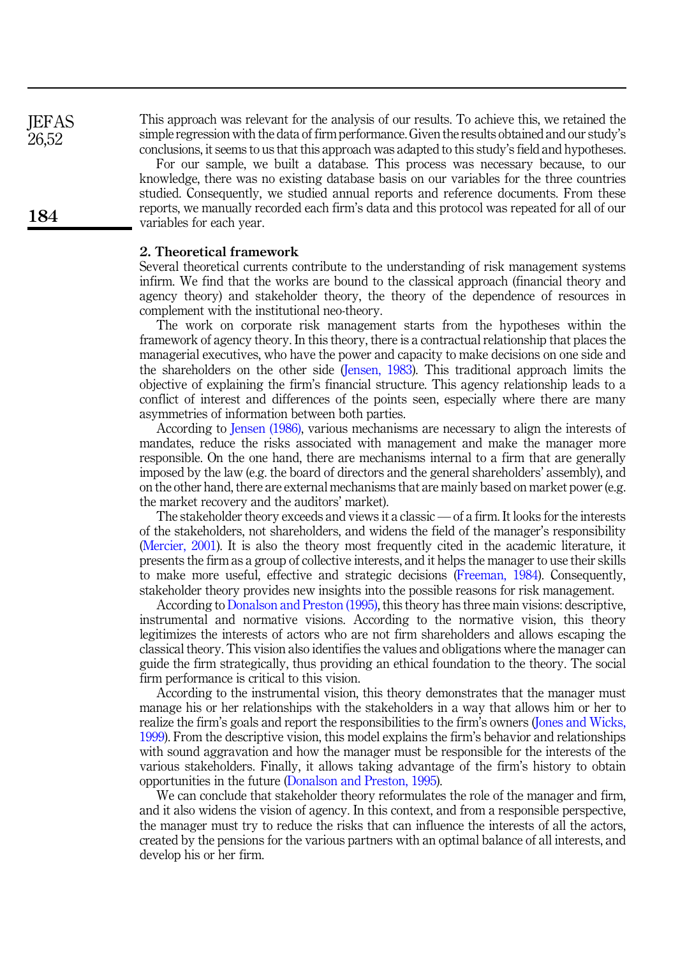This approach was relevant for the analysis of our results. To achieve this, we retained the simple regression with the data of firm performance. Given the results obtained and our study's conclusions, it seems to us that this approach was adapted to this study's field and hypotheses.

For our sample, we built a database. This process was necessary because, to our knowledge, there was no existing database basis on our variables for the three countries studied. Consequently, we studied annual reports and reference documents. From these reports, we manually recorded each firm's data and this protocol was repeated for all of our variables for each year.

# 2. Theoretical framework

Several theoretical currents contribute to the understanding of risk management systems infirm. We find that the works are bound to the classical approach (financial theory and agency theory) and stakeholder theory, the theory of the dependence of resources in complement with the institutional neo-theory.

The work on corporate risk management starts from the hypotheses within the framework of agency theory. In this theory, there is a contractual relationship that places the managerial executives, who have the power and capacity to make decisions on one side and the shareholders on the other side [\(Jensen, 1983](#page-12-2)). This traditional approach limits the objective of explaining the firm's financial structure. This agency relationship leads to a conflict of interest and differences of the points seen, especially where there are many asymmetries of information between both parties.

According to [Jensen \(1986\)](#page-12-3), various mechanisms are necessary to align the interests of mandates, reduce the risks associated with management and make the manager more responsible. On the one hand, there are mechanisms internal to a firm that are generally imposed by the law (e.g. the board of directors and the general shareholders' assembly), and on the other hand, there are external mechanisms that are mainly based on market power (e.g. the market recovery and the auditors' market).

The stakeholder theory exceeds and views it a classic — of a firm. It looks for the interests of the stakeholders, not shareholders, and widens the field of the manager's responsibility ([Mercier, 2001\)](#page-12-4). It is also the theory most frequently cited in the academic literature, it presents the firm as a group of collective interests, and it helps the manager to use their skills to make more useful, effective and strategic decisions ([Freeman, 1984\)](#page-12-5). Consequently, stakeholder theory provides new insights into the possible reasons for risk management.

According to [Donalson and Preston \(1995\)](#page-12-6), this theory has three main visions: descriptive, instrumental and normative visions. According to the normative vision, this theory legitimizes the interests of actors who are not firm shareholders and allows escaping the classical theory. This vision also identifies the values and obligations where the manager can guide the firm strategically, thus providing an ethical foundation to the theory. The social firm performance is critical to this vision.

According to the instrumental vision, this theory demonstrates that the manager must manage his or her relationships with the stakeholders in a way that allows him or her to realize the firm's goals and report the responsibilities to the firm's owners [\(Jones and Wicks,](#page-12-7) [1999\)](#page-12-7). From the descriptive vision, this model explains the firm's behavior and relationships with sound aggravation and how the manager must be responsible for the interests of the various stakeholders. Finally, it allows taking advantage of the firm's history to obtain opportunities in the future [\(Donalson and Preston, 1995](#page-12-6)).

We can conclude that stakeholder theory reformulates the role of the manager and firm, and it also widens the vision of agency. In this context, and from a responsible perspective, the manager must try to reduce the risks that can influence the interests of all the actors, created by the pensions for the various partners with an optimal balance of all interests, and develop his or her firm.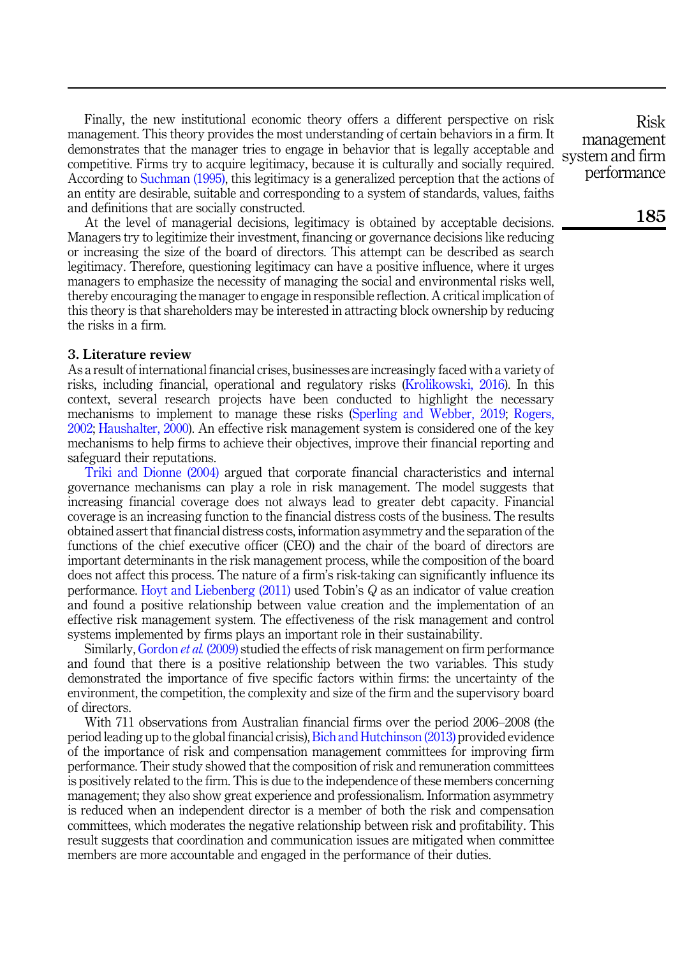Finally, the new institutional economic theory offers a different perspective on risk management. This theory provides the most understanding of certain behaviors in a firm. It demonstrates that the manager tries to engage in behavior that is legally acceptable and competitive. Firms try to acquire legitimacy, because it is culturally and socially required. According to [Suchman \(1995\)](#page-13-1), this legitimacy is a generalized perception that the actions of an entity are desirable, suitable and corresponding to a system of standards, values, faiths and definitions that are socially constructed.

At the level of managerial decisions, legitimacy is obtained by acceptable decisions. Managers try to legitimize their investment, financing or governance decisions like reducing or increasing the size of the board of directors. This attempt can be described as search legitimacy. Therefore, questioning legitimacy can have a positive influence, where it urges managers to emphasize the necessity of managing the social and environmental risks well, thereby encouraging the manager to engage in responsible reflection. A critical implication of this theory is that shareholders may be interested in attracting block ownership by reducing the risks in a firm.

### 3. Literature review

As a result of international financial crises, businesses are increasingly faced with a variety of risks, including financial, operational and regulatory risks [\(Krolikowski, 2016\)](#page-12-8). In this context, several research projects have been conducted to highlight the necessary mechanisms to implement to manage these risks ([Sperling and Webber, 2019](#page-13-2); [Rogers,](#page-13-3) [2002;](#page-13-3) [Haushalter, 2000](#page-12-9)). An effective risk management system is considered one of the key mechanisms to help firms to achieve their objectives, improve their financial reporting and safeguard their reputations.

[Triki and Dionne \(2004\)](#page-13-4) argued that corporate financial characteristics and internal governance mechanisms can play a role in risk management. The model suggests that increasing financial coverage does not always lead to greater debt capacity. Financial coverage is an increasing function to the financial distress costs of the business. The results obtained assert that financial distress costs, information asymmetry and the separation of the functions of the chief executive officer (CEO) and the chair of the board of directors are important determinants in the risk management process, while the composition of the board does not affect this process. The nature of a firm's risk-taking can significantly influence its performance. [Hoyt and Liebenberg \(2011\)](#page-12-10) used Tobin's Q as an indicator of value creation and found a positive relationship between value creation and the implementation of an effective risk management system. The effectiveness of the risk management and control systems implemented by firms plays an important role in their sustainability.

Similarly, [Gordon](#page-12-11) et al. (2009) studied the effects of risk management on firm performance and found that there is a positive relationship between the two variables. This study demonstrated the importance of five specific factors within firms: the uncertainty of the environment, the competition, the complexity and size of the firm and the supervisory board of directors.

With 711 observations from Australian financial firms over the period 2006–2008 (the period leading up to the global financial crisis), [Bich and Hutchinson \(2013\)](#page-11-0) provided evidence of the importance of risk and compensation management committees for improving firm performance. Their study showed that the composition of risk and remuneration committees is positively related to the firm. This is due to the independence of these members concerning management; they also show great experience and professionalism. Information asymmetry is reduced when an independent director is a member of both the risk and compensation committees, which moderates the negative relationship between risk and profitability. This result suggests that coordination and communication issues are mitigated when committee members are more accountable and engaged in the performance of their duties.

Risk management system and firm performance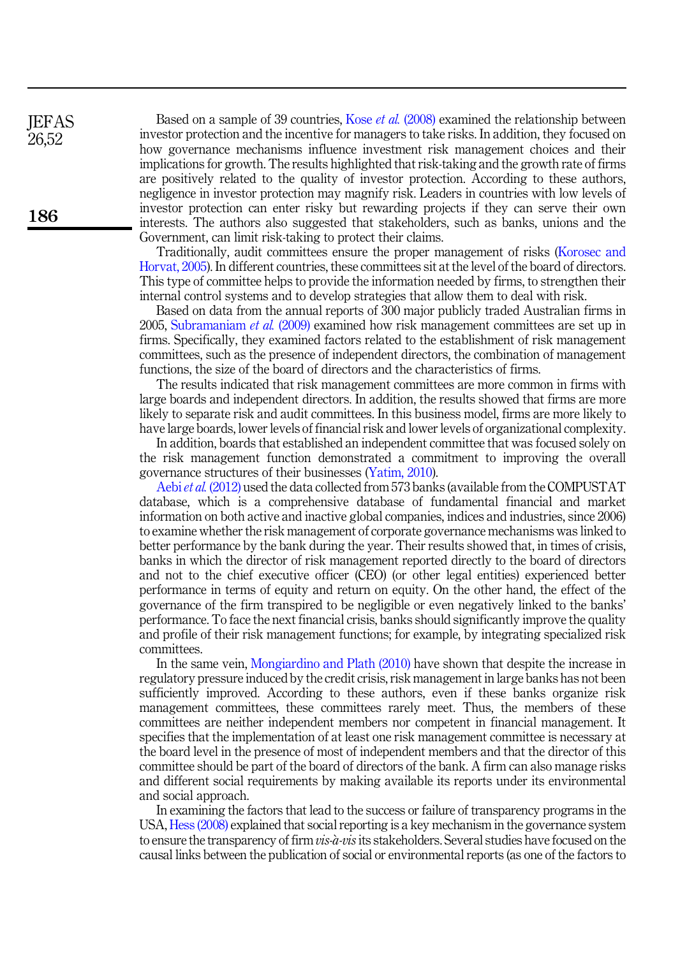Based on a sample of 39 countries, Kose *et al.* [\(2008\)](#page-12-12) examined the relationship between investor protection and the incentive for managers to take risks. In addition, they focused on how governance mechanisms influence investment risk management choices and their implications for growth. The results highlighted that risk-taking and the growth rate of firms are positively related to the quality of investor protection. According to these authors, negligence in investor protection may magnify risk. Leaders in countries with low levels of investor protection can enter risky but rewarding projects if they can serve their own interests. The authors also suggested that stakeholders, such as banks, unions and the Government, can limit risk-taking to protect their claims.

Traditionally, audit committees ensure the proper management of risks ([Korosec and](#page-12-13) [Horvat, 2005](#page-12-13)). In different countries, these committees sit at the level of the board of directors. This type of committee helps to provide the information needed by firms, to strengthen their internal control systems and to develop strategies that allow them to deal with risk.

Based on data from the annual reports of 300 major publicly traded Australian firms in 2005, [Subramaniam](#page-13-5) et al. (2009) examined how risk management committees are set up in firms. Specifically, they examined factors related to the establishment of risk management committees, such as the presence of independent directors, the combination of management functions, the size of the board of directors and the characteristics of firms.

The results indicated that risk management committees are more common in firms with large boards and independent directors. In addition, the results showed that firms are more likely to separate risk and audit committees. In this business model, firms are more likely to have large boards, lower levels of financial risk and lower levels of organizational complexity.

In addition, boards that established an independent committee that was focused solely on the risk management function demonstrated a commitment to improving the overall governance structures of their businesses ([Yatim, 2010](#page-13-6)).

Aebi *et al.* [\(2012\)](#page-11-1) used the data collected from 573 banks (available from the COMPUSTAT database, which is a comprehensive database of fundamental financial and market information on both active and inactive global companies, indices and industries, since 2006) to examine whether the risk management of corporate governance mechanisms was linked to better performance by the bank during the year. Their results showed that, in times of crisis, banks in which the director of risk management reported directly to the board of directors and not to the chief executive officer (CEO) (or other legal entities) experienced better performance in terms of equity and return on equity. On the other hand, the effect of the governance of the firm transpired to be negligible or even negatively linked to the banks' performance. To face the next financial crisis, banks should significantly improve the quality and profile of their risk management functions; for example, by integrating specialized risk committees.

In the same vein, [Mongiardino and Plath \(2010\)](#page-12-14) have shown that despite the increase in regulatory pressure induced by the credit crisis, risk management in large banks has not been sufficiently improved. According to these authors, even if these banks organize risk management committees, these committees rarely meet. Thus, the members of these committees are neither independent members nor competent in financial management. It specifies that the implementation of at least one risk management committee is necessary at the board level in the presence of most of independent members and that the director of this committee should be part of the board of directors of the bank. A firm can also manage risks and different social requirements by making available its reports under its environmental and social approach.

In examining the factors that lead to the success or failure of transparency programs in the USA, [Hess \(2008\)](#page-12-15) explained that social reporting is a key mechanism in the governance system to ensure the transparency of firm  $vis\text{-}a\text{-}vis$  its stakeholders. Several studies have focused on the causal links between the publication of social or environmental reports (as one of the factors to

186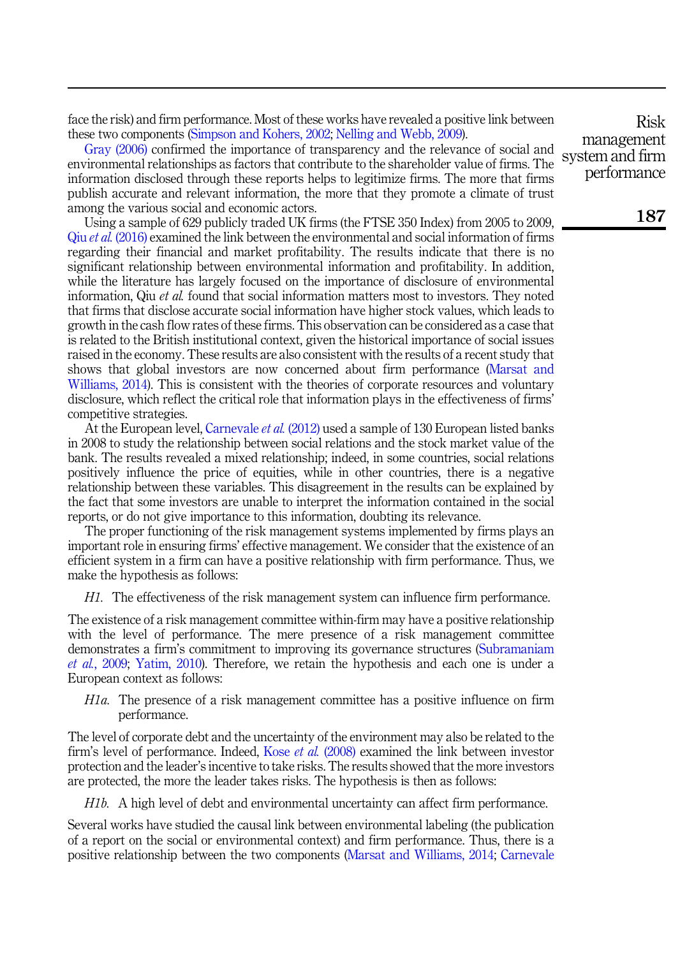face the risk) and firm performance. Most of these works have revealed a positive link between these two components ([Simpson and Kohers, 2002;](#page-13-7) [Nelling and Webb, 2009](#page-12-16)).

[Gray \(2006\)](#page-12-17) confirmed the importance of transparency and the relevance of social and environmental relationships as factors that contribute to the shareholder value of firms. The information disclosed through these reports helps to legitimize firms. The more that firms publish accurate and relevant information, the more that they promote a climate of trust among the various social and economic actors.

Using a sample of 629 publicly traded UK firms (the FTSE 350 Index) from 2005 to 2009, Qiu et al. [\(2016\)](#page-12-18) examined the link between the environmental and social information of firms regarding their financial and market profitability. The results indicate that there is no significant relationship between environmental information and profitability. In addition, while the literature has largely focused on the importance of disclosure of environmental information, Qiu et al. found that social information matters most to investors. They noted that firms that disclose accurate social information have higher stock values, which leads to growth in the cash flow rates of these firms. This observation can be considered as a case that is related to the British institutional context, given the historical importance of social issues raised in the economy. These results are also consistent with the results of a recent study that shows that global investors are now concerned about firm performance ([Marsat and](#page-12-19) [Williams, 2014\)](#page-12-19). This is consistent with the theories of corporate resources and voluntary disclosure, which reflect the critical role that information plays in the effectiveness of firms' competitive strategies.

At the European level, [Carnevale](#page-12-20) *et al.* (2012) used a sample of 130 European listed banks in 2008 to study the relationship between social relations and the stock market value of the bank. The results revealed a mixed relationship; indeed, in some countries, social relations positively influence the price of equities, while in other countries, there is a negative relationship between these variables. This disagreement in the results can be explained by the fact that some investors are unable to interpret the information contained in the social reports, or do not give importance to this information, doubting its relevance.

The proper functioning of the risk management systems implemented by firms plays an important role in ensuring firms' effective management. We consider that the existence of an efficient system in a firm can have a positive relationship with firm performance. Thus, we make the hypothesis as follows:

H1. The effectiveness of the risk management system can influence firm performance.

The existence of a risk management committee within-firm may have a positive relationship with the level of performance. The mere presence of a risk management committee demonstrates a firm's commitment to improving its governance structures ([Subramaniam](#page-13-5) et al.[, 2009;](#page-13-5) [Yatim, 2010](#page-13-6)). Therefore, we retain the hypothesis and each one is under a European context as follows:

 $H1a$ . The presence of a risk management committee has a positive influence on firm performance.

The level of corporate debt and the uncertainty of the environment may also be related to the firm's level of performance. Indeed, Kose et al. [\(2008\)](#page-12-12) examined the link between investor protection and the leader's incentive to take risks. The results showed that the more investors are protected, the more the leader takes risks. The hypothesis is then as follows:

H1b. A high level of debt and environmental uncertainty can affect firm performance.

Several works have studied the causal link between environmental labeling (the publication of a report on the social or environmental context) and firm performance. Thus, there is a positive relationship between the two components [\(Marsat and Williams, 2014](#page-12-19); [Carnevale](#page-12-20)

Risk management system and firm performance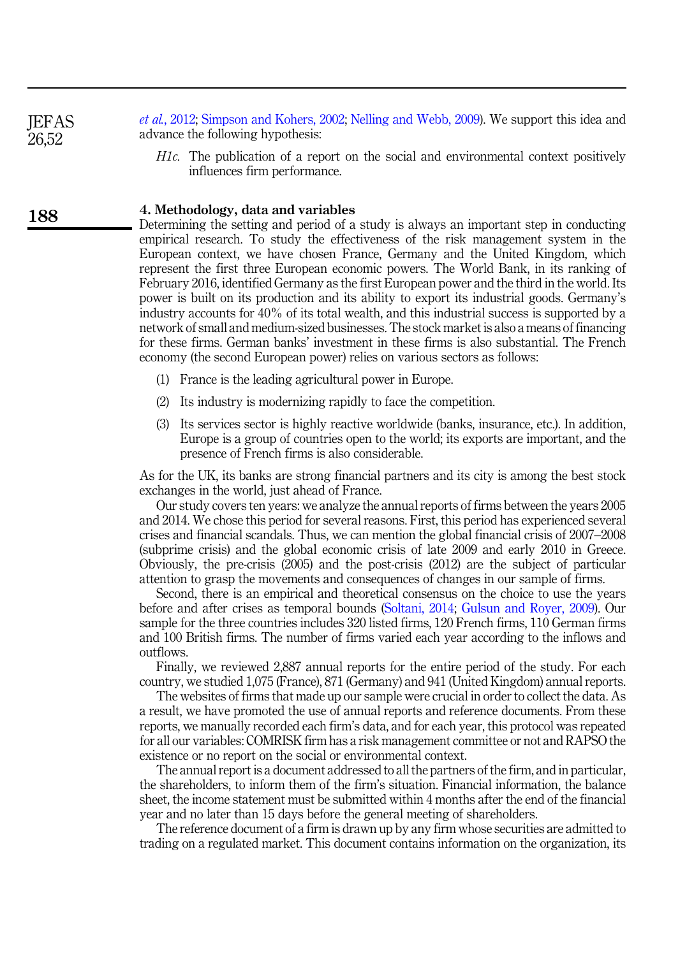et al.[, 2012;](#page-12-20) [Simpson and Kohers, 2002](#page-13-7); [Nelling and Webb, 2009](#page-12-16)). We support this idea and advance the following hypothesis:

H1c. The publication of a report on the social and environmental context positively influences firm performance.

#### 4. Methodology, data and variables

Determining the setting and period of a study is always an important step in conducting empirical research. To study the effectiveness of the risk management system in the European context, we have chosen France, Germany and the United Kingdom, which represent the first three European economic powers. The World Bank, in its ranking of February 2016, identified Germany as the first European power and the third in the world. Its power is built on its production and its ability to export its industrial goods. Germany's industry accounts for 40% of its total wealth, and this industrial success is supported by a network of small and medium-sized businesses. The stock market is also a means of financing for these firms. German banks' investment in these firms is also substantial. The French economy (the second European power) relies on various sectors as follows:

- (1) France is the leading agricultural power in Europe.
- (2) Its industry is modernizing rapidly to face the competition.
- (3) Its services sector is highly reactive worldwide (banks, insurance, etc.). In addition, Europe is a group of countries open to the world; its exports are important, and the presence of French firms is also considerable.

As for the UK, its banks are strong financial partners and its city is among the best stock exchanges in the world, just ahead of France.

Our study covers ten years: we analyze the annual reports of firms between the years 2005 and 2014. We chose this period for several reasons. First, this period has experienced several crises and financial scandals. Thus, we can mention the global financial crisis of 2007–2008 (subprime crisis) and the global economic crisis of late 2009 and early 2010 in Greece. Obviously, the pre-crisis (2005) and the post-crisis (2012) are the subject of particular attention to grasp the movements and consequences of changes in our sample of firms.

Second, there is an empirical and theoretical consensus on the choice to use the years before and after crises as temporal bounds [\(Soltani, 2014;](#page-13-8) [Gulsun and Royer, 2009\)](#page-12-21). Our sample for the three countries includes 320 listed firms, 120 French firms, 110 German firms and 100 British firms. The number of firms varied each year according to the inflows and outflows.

Finally, we reviewed 2,887 annual reports for the entire period of the study. For each country, we studied 1,075 (France), 871 (Germany) and 941 (United Kingdom) annual reports.

The websites of firms that made up our sample were crucial in order to collect the data. As a result, we have promoted the use of annual reports and reference documents. From these reports, we manually recorded each firm's data, and for each year, this protocol was repeated for all our variables: COMRISK firm has a risk management committee or not and RAPSO the existence or no report on the social or environmental context.

The annual report is a document addressed to all the partners of the firm, and in particular, the shareholders, to inform them of the firm's situation. Financial information, the balance sheet, the income statement must be submitted within 4 months after the end of the financial year and no later than 15 days before the general meeting of shareholders.

The reference document of a firm is drawn up by any firm whose securities are admitted to trading on a regulated market. This document contains information on the organization, its

188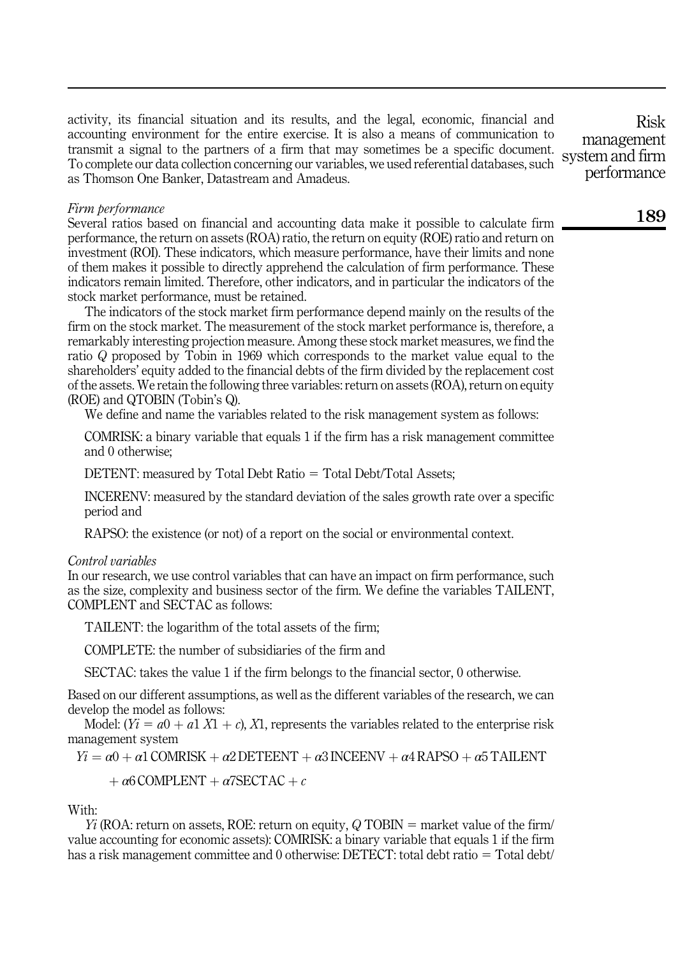activity, its financial situation and its results, and the legal, economic, financial and accounting environment for the entire exercise. It is also a means of communication to transmit a signal to the partners of a firm that may sometimes be a specific document. To complete our data collection concerning our variables, we used referential databases, such as Thomson One Banker, Datastream and Amadeus.

# Firm berformance

Several ratios based on financial and accounting data make it possible to calculate firm performance, the return on assets (ROA) ratio, the return on equity (ROE) ratio and return on investment (ROI). These indicators, which measure performance, have their limits and none of them makes it possible to directly apprehend the calculation of firm performance. These indicators remain limited. Therefore, other indicators, and in particular the indicators of the stock market performance, must be retained.

The indicators of the stock market firm performance depend mainly on the results of the firm on the stock market. The measurement of the stock market performance is, therefore, a remarkably interesting projection measure. Among these stock market measures, we find the ratio Q proposed by Tobin in 1969 which corresponds to the market value equal to the shareholders' equity added to the financial debts of the firm divided by the replacement cost of the assets. We retain the following three variables: return on assets (ROA), return on equity (ROE) and QTOBIN (Tobin's Q).

We define and name the variables related to the risk management system as follows:

COMRISK: a binary variable that equals 1 if the firm has a risk management committee and 0 otherwise;

DETENT: measured by Total Debt Ratio  $=$  Total Debt/Total Assets;

INCERENV: measured by the standard deviation of the sales growth rate over a specific period and

RAPSO: the existence (or not) of a report on the social or environmental context.

#### Control variables

In our research, we use control variables that can have an impact on firm performance, such as the size, complexity and business sector of the firm. We define the variables TAILENT, COMPLENT and SECTAC as follows:

TAILENT: the logarithm of the total assets of the firm;

COMPLETE: the number of subsidiaries of the firm and

SECTAC: takes the value 1 if the firm belongs to the financial sector, 0 otherwise.

Based on our different assumptions, as well as the different variables of the research, we can develop the model as follows:

Model:  $(Y_i = a0 + a1 X1 + c)$ , X1, represents the variables related to the enterprise risk management system

 $Yi = \alpha 0 + \alpha 1$  COMRISK +  $\alpha 2$  DETEENT +  $\alpha 3$  INCEENV +  $\alpha 4$  RAPSO +  $\alpha 5$  TAILENT

 $+\alpha$ 6 COMPLENT  $+\alpha$ 7SECTAC  $+\alpha$ 

With:

 $Y_i$  (ROA: return on assets, ROE: return on equity, Q TOBIN = market value of the firm/ value accounting for economic assets): COMRISK: a binary variable that equals 1 if the firm has a risk management committee and 0 otherwise: DETECT: total debt ratio  $=$  Total debt/

Risk management system and firm performance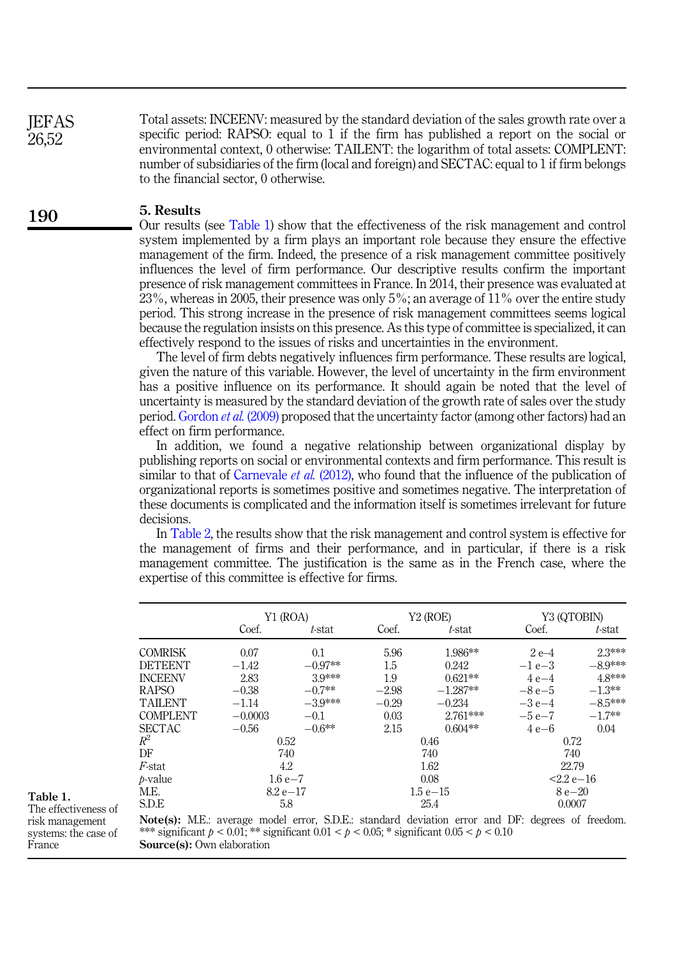Total assets: INCEENV: measured by the standard deviation of the sales growth rate over a specific period: RAPSO: equal to 1 if the firm has published a report on the social or environmental context, 0 otherwise: TAILENT: the logarithm of total assets: COMPLENT: number of subsidiaries of the firm (local and foreign) and SECTAC: equal to 1 if firm belongs to the financial sector, 0 otherwise.

#### 5. Results

Our results (see Table 1) show that the effectiveness of the risk management and control system implemented by a firm plays an important role because they ensure the effective management of the firm. Indeed, the presence of a risk management committee positively influences the level of firm performance. Our descriptive results confirm the important presence of risk management committees in France. In 2014, their presence was evaluated at 23%, whereas in 2005, their presence was only 5%; an average of 11% over the entire study period. This strong increase in the presence of risk management committees seems logical because the regulation insists on this presence. As this type of committee is specialized, it can effectively respond to the issues of risks and uncertainties in the environment.

The level of firm debts negatively influences firm performance. These results are logical, given the nature of this variable. However, the level of uncertainty in the firm environment has a positive influence on its performance. It should again be noted that the level of uncertainty is measured by the standard deviation of the growth rate of sales over the study period. [Gordon](#page-12-11) et al. (2009) proposed that the uncertainty factor (among other factors) had an effect on firm performance.

In addition, we found a negative relationship between organizational display by publishing reports on social or environmental contexts and firm performance. This result is similar to that of [Carnevale](#page-12-20) *et al.* (2012), who found that the influence of the publication of organizational reports is sometimes positive and sometimes negative. The interpretation of these documents is complicated and the information itself is sometimes irrelevant for future decisions.

In [Table 2,](#page-9-0) the results show that the risk management and control system is effective for the management of firms and their performance, and in particular, if there is a risk management committee. The justification is the same as in the French case, where the expertise of this committee is effective for firms.

|                 |                     | Y1 (ROA)  |         | Y2 (ROE)    | Y3 (QTOBIN)  |           |  |  |
|-----------------|---------------------|-----------|---------|-------------|--------------|-----------|--|--|
|                 | Coef.               | t-stat    | Coef.   | t-stat      | Coef.        | t-stat    |  |  |
| <b>COMRISK</b>  | 0.07                | 0.1       | 5.96    | 1.986**     | $2e-4$       | 2.3***    |  |  |
| <b>DETEENT</b>  | $-1.42$             | $-0.97**$ | 1.5     | 0.242       | $-1e-3$      | $-8.9***$ |  |  |
| <b>INCEENV</b>  | 2.83                | 39***     | 1.9     | $0.621**$   | $4e-4$       | 48***     |  |  |
| <b>RAPSO</b>    | $-0.7**$<br>$-0.38$ |           | $-2.98$ | $-1.287**$  | $-8e-5$      | $-1.3**$  |  |  |
| <b>TAILENT</b>  | $-1.14$             | $-3.9***$ | $-0.29$ | $-0.234$    | $-3e-4$      | $-8.5***$ |  |  |
| <b>COMPLENT</b> | $-0.0003$           | $-0.1$    | 0.03    | $2.761***$  | $-5e-7$      | $-1.7**$  |  |  |
| <b>SECTAC</b>   | $-0.56$             | $-0.6**$  | 2.15    | $0.604**$   | 4 e-6        | 0.04      |  |  |
| $R^2$           |                     | 0.52      |         | 0.46        | 0.72         |           |  |  |
| DF              |                     | 740       |         | 740         | 740          |           |  |  |
| F-stat          |                     | 4.2       |         | 1.62        | 22.79        |           |  |  |
| <i>b</i> -value | $1.6e - 7$          |           |         | 0.08        | $2.2 e - 16$ |           |  |  |
| M.E.            | $8.2 e - 17$        |           |         | $1.5e - 15$ | $8e - 20$    |           |  |  |
| <b>S.D.E</b>    |                     | 5.8       |         | 25.4        | 0.0007       |           |  |  |

Table 1. The effectiveness of risk management systems: the case of France

Note(s): M.E.: average model error, S.D.E.: standard deviation error and DF: degrees of freedom. \*\*\* significant  $p < 0.01$ ; \*\* significant  $0.01 < p < 0.05$ ; \* significant  $0.05 < p < 0.10$ Source(s): Own elaboration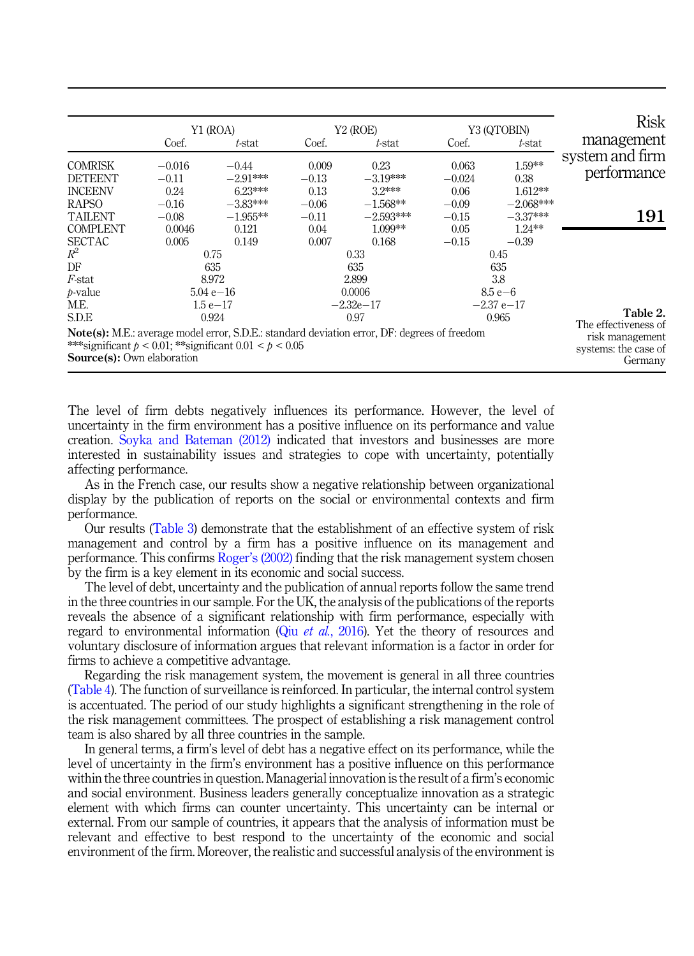<span id="page-9-0"></span>

|                                                                                                  | Y1 (ROA)                              |                                 |                          | Y <sub>2</sub> (ROE)                                                                                |                           | Y3 (QTOBIN)                 | <b>Risk</b>                                        |  |  |
|--------------------------------------------------------------------------------------------------|---------------------------------------|---------------------------------|--------------------------|-----------------------------------------------------------------------------------------------------|---------------------------|-----------------------------|----------------------------------------------------|--|--|
|                                                                                                  | Coef.                                 | t-stat                          | Coef.                    | t-stat                                                                                              | Coef.                     | t-stat                      | management                                         |  |  |
| <b>COMRISK</b><br><b>DETEENT</b><br><b>INCEENV</b>                                               | $-0.016$<br>$-0.11$<br>0.24           | $-0.44$<br>$-2.91***$<br>623*** | 0.009<br>$-0.13$<br>0.13 | 0.23<br>$-3.19***$<br>$32***$                                                                       | 0.063<br>$-0.024$<br>0.06 | 1.59**<br>0.38<br>$1.612**$ | system and firm<br>pertormance                     |  |  |
| <b>RAPSO</b><br><b>TAILENT</b>                                                                   | $-0.16$<br>$-0.08$                    | $-3.83***$<br>$-1.955**$        | $-0.06$<br>$-0.11$       | $-1.568**$<br>$-2.593***$                                                                           | $-0.09$<br>$-0.15$        | $-2.068***$<br>$-3.37***$   | 191                                                |  |  |
| <b>COMPLENT</b><br><b>SECTAC</b>                                                                 | 0.0046<br>0.005                       | 0.121<br>0.149                  | 0.04<br>0.007            | $1.099**$<br>0.168                                                                                  | 0.05<br>$-0.15$           | $1.24***$<br>$-0.39$        |                                                    |  |  |
| $R^2$<br>DF                                                                                      | 0.75<br>635<br>8.972<br>$5.04 e - 16$ |                                 | 0.33<br>635              |                                                                                                     | 0.45<br>635               |                             |                                                    |  |  |
| <i>F</i> -stat<br>$b-value$                                                                      |                                       |                                 | 2.899<br>0.0006          |                                                                                                     |                           | 3.8<br>$8.5 e - 6$          |                                                    |  |  |
| M.E.<br>S.D.E                                                                                    |                                       | $1.5e-17$<br>0.924              |                          | $-2.32e-17$<br>0.97                                                                                 |                           | $-2.37$ e $-17$<br>0.965    | Table 2.<br>The effectiveness of                   |  |  |
| ***significant $p < 0.01$ ; **significant $0.01 < p < 0.05$<br><b>Source(s):</b> Own elaboration |                                       |                                 |                          | <b>Note(s):</b> M.E.: average model error, S.D.E.: standard deviation error, DF: degrees of freedom |                           |                             | risk management<br>systems: the case of<br>Germany |  |  |

The level of firm debts negatively influences its performance. However, the level of uncertainty in the firm environment has a positive influence on its performance and value creation. [Soyka and Bateman \(2012\)](#page-13-9) indicated that investors and businesses are more interested in sustainability issues and strategies to cope with uncertainty, potentially affecting performance.

As in the French case, our results show a negative relationship between organizational display by the publication of reports on the social or environmental contexts and firm performance.

Our results ([Table 3\)](#page-10-0) demonstrate that the establishment of an effective system of risk management and control by a firm has a positive influence on its management and performance. This confirms Roger'[s \(2002\)](#page-13-3) finding that the risk management system chosen by the firm is a key element in its economic and social success.

The level of debt, uncertainty and the publication of annual reports follow the same trend in the three countries in our sample. For the UK, the analysis of the publications of the reports reveals the absence of a significant relationship with firm performance, especially with regard to environmental information (Qiu et  $a\bar{d}$ [, 2016\)](#page-12-18). Yet the theory of resources and voluntary disclosure of information argues that relevant information is a factor in order for firms to achieve a competitive advantage.

Regarding the risk management system, the movement is general in all three countries ([Table 4\)](#page-10-0). The function of surveillance is reinforced. In particular, the internal control system is accentuated. The period of our study highlights a significant strengthening in the role of the risk management committees. The prospect of establishing a risk management control team is also shared by all three countries in the sample.

In general terms, a firm's level of debt has a negative effect on its performance, while the level of uncertainty in the firm's environment has a positive influence on this performance within the three countries in question. Managerial innovation is the result of a firm's economic and social environment. Business leaders generally conceptualize innovation as a strategic element with which firms can counter uncertainty. This uncertainty can be internal or external. From our sample of countries, it appears that the analysis of information must be relevant and effective to best respond to the uncertainty of the economic and social environment of the firm. Moreover, the realistic and successful analysis of the environment is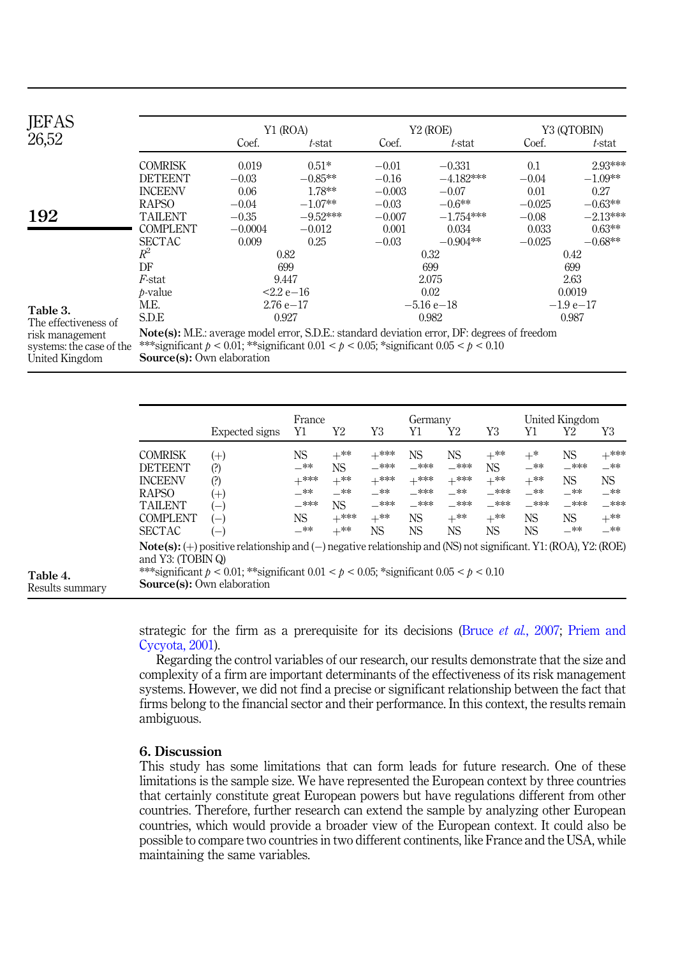<span id="page-10-0"></span>

| <b>JEFAS</b>                     |                 |                | Y1 (ROA)   |                             | Y <sub>2</sub> (ROE) | Y3 (QTOBIN) |            |  |
|----------------------------------|-----------------|----------------|------------|-----------------------------|----------------------|-------------|------------|--|
| 26,52                            |                 | Coef.          | t-stat     | Coef.                       | $t$ -stat            | Coef.       | t-stat     |  |
|                                  | <b>COMRISK</b>  | 0.019          | $0.51*$    | $-0.01$                     | $-0.331$             | 0.1         | 2.93***    |  |
|                                  | <b>DETEENT</b>  | $-0.03$        | $-0.85**$  | $-0.16$                     | $-4.182***$          | $-0.04$     | $-1.09**$  |  |
|                                  | <b>INCEENV</b>  | 0.06           | 1.78**     | $-0.003$                    | $-0.07$              | 0.01        | 0.27       |  |
|                                  | <b>RAPSO</b>    | $-0.04$        | $-1.07**$  | $-0.03$                     | $-0.6**$             | $-0.025$    | $-0.63**$  |  |
| 192                              | <b>TAILENT</b>  | $-0.35$        | $-9.52***$ | $-0.007$                    | $-1.754***$          | $-0.08$     | $-2.13***$ |  |
|                                  | <b>COMPLENT</b> | $-0.0004$      | $-0.012$   | 0.001                       | 0.034                | 0.033       | $0.63***$  |  |
|                                  | <b>SECTAC</b>   | 0.009          | 0.25       | $-0.03$                     | $-0.904**$           | $-0.025$    | $-0.68**$  |  |
|                                  | $R^2$           | 0.82           |            |                             | 0.32                 | 0.42        |            |  |
|                                  | DF              | 699            |            |                             | 699                  | 699         |            |  |
|                                  | F-stat          |                | 9.447      |                             | 2.075                | 2.63        |            |  |
|                                  | $b-value$       | $22e-16$       |            |                             | 0.02                 | 0.0019      |            |  |
|                                  | M.E.            | $2.76e - 17$   |            |                             | $-5.16e-18$          | $-1.9e-17$  |            |  |
| Table 3.<br>The effectiveness of | <b>SDE</b>      |                | 0.927      |                             | 0.982                | 0.987       |            |  |
|                                  | <b>BI</b> BET   | $\blacksquare$ |            | $0.05.02 \pm 1.1.1 \pm 1.1$ | $\mathbf{m}$         |             |            |  |

risk management systems: the case of the United Kingdom

Note(s): M.E.: average model error, S.D.E.: standard deviation error, DF: degrees of freedom \*\*\*significant  $p < 0.01$ ; \*\*significant  $0.01 < p < 0.05$ ; \*significant  $0.05 < p < 0.10$ Source(s): Own elaboration

|                             |                                                                                                                          |                                                                                                                                                                                                                                                       | France                                                    |                                                                     |                                                                | Germany                                                |                                                                |                                                               | United Kingdom                                         |                                                                             |                                                                |  |
|-----------------------------|--------------------------------------------------------------------------------------------------------------------------|-------------------------------------------------------------------------------------------------------------------------------------------------------------------------------------------------------------------------------------------------------|-----------------------------------------------------------|---------------------------------------------------------------------|----------------------------------------------------------------|--------------------------------------------------------|----------------------------------------------------------------|---------------------------------------------------------------|--------------------------------------------------------|-----------------------------------------------------------------------------|----------------------------------------------------------------|--|
|                             |                                                                                                                          | Expected signs                                                                                                                                                                                                                                        | Y1                                                        | Y2                                                                  | Y3                                                             | Υ1                                                     | Y2                                                             | Y3                                                            | Y1                                                     | Y2                                                                          | Y3                                                             |  |
|                             | <b>COMRISK</b><br><b>DETEENT</b><br><b>INCEENV</b><br><b>RAPSO</b><br><b>TAILENT</b><br><b>COMPLENT</b><br><b>SECTAC</b> | $^{(+)}$<br>(?)<br>(?)<br>$^{(+)}$<br>$\overline{\phantom{a}}$<br>$-$<br>$-$                                                                                                                                                                          | NS.<br>—**<br>$+***$<br>$-***$<br>$-***$<br>NS.<br>$-***$ | $+^{**}$<br><b>NS</b><br>$+^{**}$<br>_**<br>NS.<br>$+***$<br>$+***$ | $+***$<br>$-***$<br>$+***$<br>$-***$<br>$-***$<br>$+***$<br>NS | NS<br>$-***$<br>$+***$<br>$-***$<br>$-***$<br>NS<br>NS | NS<br>$-***$<br>$+***$<br>_**<br>$-***$<br>$+***$<br><b>NS</b> | $+^{**}$<br>NS.<br>$+***$<br>$-***$<br>$-***$<br>$+***$<br>NS | $+^*$<br>$-***$<br>$+***$<br>_**<br>$-***$<br>NS<br>NS | <b>NS</b><br>$-***$<br><b>NS</b><br>$-***$<br>$-***$<br><b>NS</b><br>$-***$ | $+***$<br>—**<br>NS.<br>$-***$<br>$-***$<br>$+^{**}$<br>$-***$ |  |
| Table 4.<br>Results summary | and Y3: (TOBIN Q)                                                                                                        | $Note(s):(+) positive relationship and (-) negative relationship and (NS) not significant. Y1: (ROA), Y2: (ROE)$<br>***significant $p < 0.01$ ; **significant $0.01 < p < 0.05$ ; *significant $0.05 < p < 0.10$<br><b>Source(s):</b> Own elaboration |                                                           |                                                                     |                                                                |                                                        |                                                                |                                                               |                                                        |                                                                             |                                                                |  |

strategic for the firm as a prerequisite for its decisions (Bruce *et al.*[, 2007;](#page-11-2) [Priem and](#page-12-22) [Cycyota, 2001](#page-12-22)).

Regarding the control variables of our research, our results demonstrate that the size and complexity of a firm are important determinants of the effectiveness of its risk management systems. However, we did not find a precise or significant relationship between the fact that firms belong to the financial sector and their performance. In this context, the results remain ambiguous.

# 6. Discussion

This study has some limitations that can form leads for future research. One of these limitations is the sample size. We have represented the European context by three countries that certainly constitute great European powers but have regulations different from other countries. Therefore, further research can extend the sample by analyzing other European countries, which would provide a broader view of the European context. It could also be possible to compare two countries in two different continents, like France and the USA, while maintaining the same variables.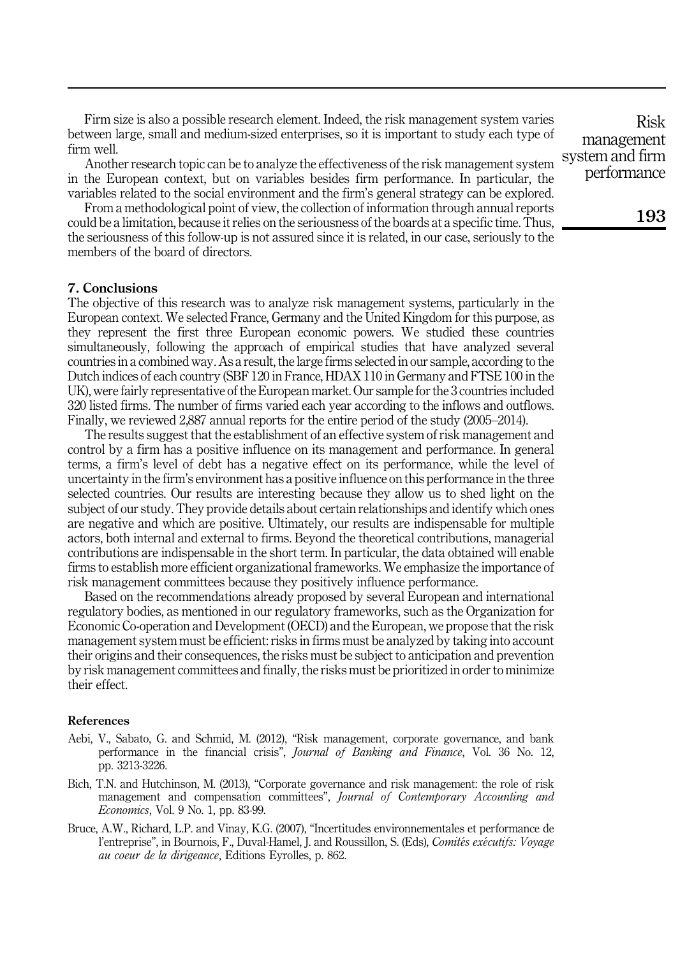Firm size is also a possible research element. Indeed, the risk management system varies between large, small and medium-sized enterprises, so it is important to study each type of firm well.

Another research topic can be to analyze the effectiveness of the risk management system in the European context, but on variables besides firm performance. In particular, the variables related to the social environment and the firm's general strategy can be explored.

From a methodological point of view, the collection of information through annual reports could be a limitation, because it relies on the seriousness of the boards at a specific time. Thus, the seriousness of this follow-up is not assured since it is related, in our case, seriously to the members of the board of directors.

# 7. Conclusions

The objective of this research was to analyze risk management systems, particularly in the European context. We selected France, Germany and the United Kingdom for this purpose, as they represent the first three European economic powers. We studied these countries simultaneously, following the approach of empirical studies that have analyzed several countries in a combined way. As a result, the large firms selected in our sample, according to the Dutch indices of each country (SBF 120 in France, HDAX 110 in Germany and FTSE 100 in the UK), were fairly representative of the European market. Our sample for the 3 countries included 320 listed firms. The number of firms varied each year according to the inflows and outflows. Finally, we reviewed 2,887 annual reports for the entire period of the study (2005–2014).

The results suggest that the establishment of an effective system of risk management and control by a firm has a positive influence on its management and performance. In general terms, a firm's level of debt has a negative effect on its performance, while the level of uncertainty in the firm's environment has a positive influence on this performance in the three selected countries. Our results are interesting because they allow us to shed light on the subject of our study. They provide details about certain relationships and identify which ones are negative and which are positive. Ultimately, our results are indispensable for multiple actors, both internal and external to firms. Beyond the theoretical contributions, managerial contributions are indispensable in the short term. In particular, the data obtained will enable firms to establish more efficient organizational frameworks. We emphasize the importance of risk management committees because they positively influence performance.

Based on the recommendations already proposed by several European and international regulatory bodies, as mentioned in our regulatory frameworks, such as the Organization for Economic Co-operation and Development (OECD) and the European, we propose that the risk management system must be efficient: risks in firms must be analyzed by taking into account their origins and their consequences, the risks must be subject to anticipation and prevention by risk management committees and finally, the risks must be prioritized in order to minimize their effect.

#### References

- <span id="page-11-1"></span>Aebi, V., Sabato, G. and Schmid, M. (2012), "Risk management, corporate governance, and bank performance in the financial crisis", *Journal of Banking and Finance*, Vol. 36 No. 12, pp. 3213-3226.
- <span id="page-11-0"></span>Bich, T.N. and Hutchinson, M. (2013), "Corporate governance and risk management: the role of risk management and compensation committees", Journal of Contemporary Accounting and Economics, Vol. 9 No. 1, pp. 83-99.
- <span id="page-11-2"></span>Bruce, A.W., Richard, L.P. and Vinay, K.G. (2007), "Incertitudes environnementales et performance de l'entreprise", in Bournois, F., Duval-Hamel, J. and Roussillon, S. (Eds), Comités exécutifs: Voyage au coeur de la dirigeance, Editions Eyrolles, p. 862.

Risk management system and firm performance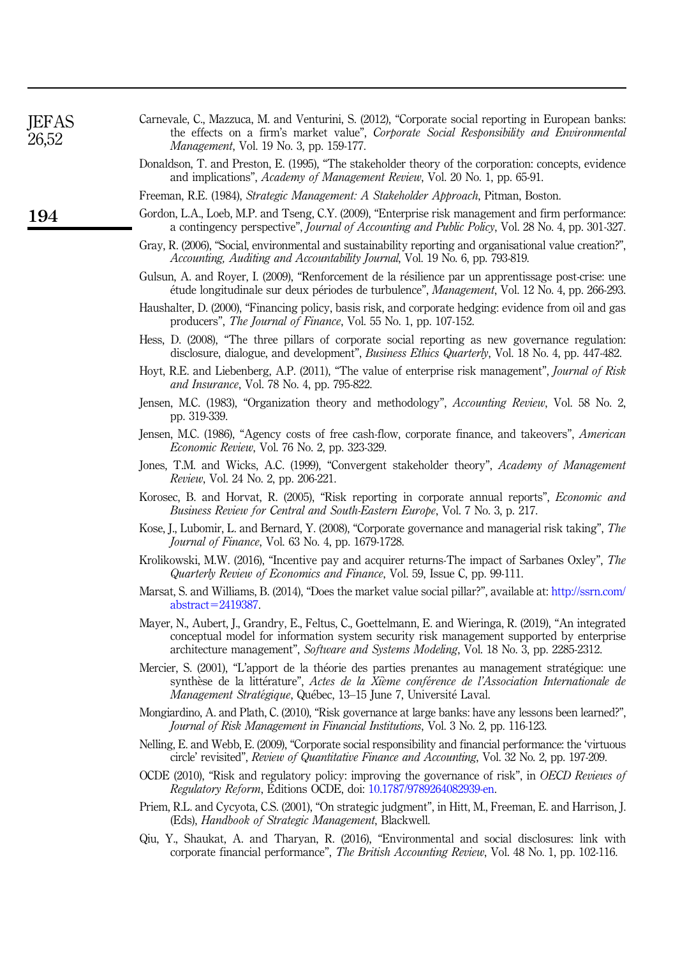<span id="page-12-22"></span><span id="page-12-21"></span><span id="page-12-20"></span><span id="page-12-19"></span><span id="page-12-18"></span><span id="page-12-17"></span><span id="page-12-16"></span><span id="page-12-15"></span><span id="page-12-14"></span><span id="page-12-13"></span><span id="page-12-12"></span><span id="page-12-11"></span><span id="page-12-10"></span><span id="page-12-9"></span><span id="page-12-8"></span><span id="page-12-7"></span><span id="page-12-6"></span><span id="page-12-5"></span><span id="page-12-4"></span><span id="page-12-3"></span><span id="page-12-2"></span><span id="page-12-1"></span><span id="page-12-0"></span>

| JEFAS<br>26,52 | Carnevale, C., Mazzuca, M. and Venturini, S. (2012), "Corporate social reporting in European banks:<br>the effects on a firm's market value", Corporate Social Responsibility and Environmental<br>Management, Vol. 19 No. 3, pp. 159-177.                                                    |
|----------------|-----------------------------------------------------------------------------------------------------------------------------------------------------------------------------------------------------------------------------------------------------------------------------------------------|
|                | Donaldson, T. and Preston, E. (1995), "The stakeholder theory of the corporation: concepts, evidence<br>and implications", <i>Academy of Management Review</i> , Vol. 20 No. 1, pp. 65-91.                                                                                                    |
|                | Freeman, R.E. (1984), Strategic Management: A Stakeholder Approach, Pitman, Boston.                                                                                                                                                                                                           |
| 194            | Gordon, L.A., Loeb, M.P. and Tseng, C.Y. (2009), "Enterprise risk management and firm performance:<br>a contingency perspective", <i>Journal of Accounting and Public Policy</i> , Vol. 28 No. 4, pp. 301-327.                                                                                |
|                | Gray, R. (2006), "Social, environmental and sustainability reporting and organisational value creation?",<br>Accounting, Auditing and Accountability Journal, Vol. 19 No. 6, pp. 793-819.                                                                                                     |
|                | Gulsun, A. and Royer, I. (2009), "Renforcement de la résilience par un apprentissage post-crise: une<br>étude longitudinale sur deux périodes de turbulence", <i>Management</i> , Vol. 12 No. 4, pp. 266-293.                                                                                 |
|                | Haushalter, D. (2000), "Financing policy, basis risk, and corporate hedging: evidence from oil and gas<br>producers", <i>The Journal of Finance</i> , Vol. 55 No. 1, pp. 107-152.                                                                                                             |
|                | Hess, D. (2008), "The three pillars of corporate social reporting as new governance regulation:<br>disclosure, dialogue, and development", Business Ethics Quarterly, Vol. 18 No. 4, pp. 447-482.                                                                                             |
|                | Hoyt, R.E. and Liebenberg, A.P. (2011), "The value of enterprise risk management", <i>Journal of Risk</i><br>and Insurance, Vol. 78 No. 4, pp. 795-822.                                                                                                                                       |
|                | Jensen, M.C. (1983), "Organization theory and methodology", Accounting Review, Vol. 58 No. 2,<br>pp. 319-339.                                                                                                                                                                                 |
|                | Jensen, M.C. (1986), "Agency costs of free cash-flow, corporate finance, and takeovers", American<br><i>Economic Review, Vol. 76 No. 2, pp. 323-329.</i>                                                                                                                                      |
|                | Jones, T.M. and Wicks, A.C. (1999), "Convergent stakeholder theory", Academy of Management<br>Review, Vol. 24 No. 2, pp. 206-221.                                                                                                                                                             |
|                | Korosec, B. and Horvat, R. (2005), "Risk reporting in corporate annual reports", <i>Economic and</i><br>Business Review for Central and South-Eastern Europe, Vol. 7 No. 3, p. 217.                                                                                                           |
|                | Kose, J., Lubomir, L. and Bernard, Y. (2008), "Corporate governance and managerial risk taking", The<br>Journal of Finance, Vol. 63 No. 4, pp. 1679-1728.                                                                                                                                     |
|                | Krolikowski, M.W. (2016), "Incentive pay and acquirer returns-The impact of Sarbanes Oxley", The<br>Quarterly Review of Economics and Finance, Vol. 59, Issue C, pp. 99-111.                                                                                                                  |
|                | Marsat, S. and Williams, B. (2014), "Does the market value social pillar?", available at: http://ssrn.com/<br>$abstruct = 2419387$ .                                                                                                                                                          |
|                | Mayer, N., Aubert, J., Grandry, E., Feltus, C., Goettelmann, E. and Wieringa, R. (2019), "An integrated<br>conceptual model for information system security risk management supported by enterprise<br>architecture management", Software and Systems Modeling, Vol. 18 No. 3, pp. 2285-2312. |
|                | Mercier, S. (2001), "L'apport de la théorie des parties prenantes au management stratégique: une<br>synthèse de la littérature", Actes de la Xième conférence de l'Association Internationale de<br>Management Stratégique, Québec, 13-15 June 7, Université Laval.                           |
|                | Mongiardino, A. and Plath, C. (2010), "Risk governance at large banks: have any lessons been learned?",<br><i>Journal of Risk Management in Financial Institutions, Vol. 3 No. 2, pp. 116-123.</i>                                                                                            |
|                | Nelling, E. and Webb, E. (2009), "Corporate social responsibility and financial performance: the 'virtuous<br>circle' revisited", <i>Review of Quantitative Finance and Accounting</i> , Vol. 32 No. 2, pp. 197-209.                                                                          |
|                | OCDE (2010), "Risk and regulatory policy: improving the governance of risk", in OECD Reviews of<br>Regulatory Reform, Editions OCDE, doi: 10.1787/9789264082939-en.                                                                                                                           |
|                | Priem, R.L. and Cycyota, C.S. (2001), "On strategic judgment", in Hitt, M., Freeman, E. and Harrison, J.<br>(Eds), Handbook of Strategic Management, Blackwell.                                                                                                                               |
|                | Qiu, Y., Shaukat, A. and Tharyan, R. (2016), "Environmental and social disclosures: link with<br>corporate financial performance", The British Accounting Review, Vol. 48 No. 1, pp. 102-116.                                                                                                 |
|                |                                                                                                                                                                                                                                                                                               |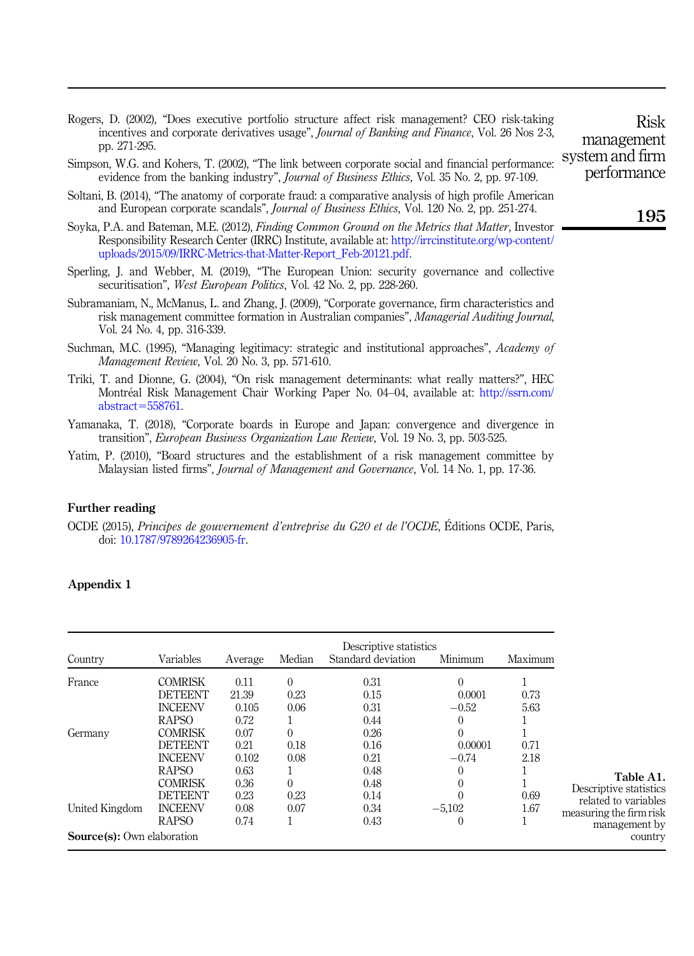<span id="page-13-3"></span>Rogers, D. (2002), "Does executive portfolio structure affect risk management? CEO risk-taking incentives and corporate derivatives usage", Journal of Banking and Finance, Vol. 26 Nos 2-3, pp. 271-295.

- <span id="page-13-7"></span>Simpson, W.G. and Kohers, T. (2002), "The link between corporate social and financial performance: evidence from the banking industry", Journal of Business Ethics, Vol. 35 No. 2, pp. 97-109.
- <span id="page-13-8"></span>Soltani, B. (2014), "The anatomy of corporate fraud: a comparative analysis of high profile American and European corporate scandals", Journal of Business Ethics, Vol. 120 No. 2, pp. 251-274.
- <span id="page-13-9"></span>Soyka, P.A. and Bateman, M.E. (2012), Finding Common Ground on the Metrics that Matter, Investor Responsibility Research Center (IRRC) Institute, available at: [http://irrcinstitute.org/wp-content/](%20http://irrcinstitute.org/wp-content/uploads/2015/09/IRRC-Metrics-that-Matter-Report_Feb-20121.pdf) [uploads/2015/09/IRRC-Metrics-that-Matter-Report\\_Feb-20121.pdf](%20http://irrcinstitute.org/wp-content/uploads/2015/09/IRRC-Metrics-that-Matter-Report_Feb-20121.pdf).
- <span id="page-13-2"></span>Sperling, J. and Webber, M. (2019), "The European Union: security governance and collective securitisation", West European Politics, Vol. 42 No. 2, pp. 228-260.
- <span id="page-13-5"></span>Subramaniam, N., McManus, L. and Zhang, J. (2009), "Corporate governance, firm characteristics and risk management committee formation in Australian companies", Managerial Auditing Journal, Vol. 24 No. 4, pp. 316-339.
- <span id="page-13-1"></span>Suchman, M.C. (1995), "Managing legitimacy: strategic and institutional approaches", Academy of Management Review, Vol. 20 No. 3, pp. 571-610.
- <span id="page-13-4"></span>Triki, T. and Dionne, G. (2004), "On risk management determinants: what really matters?", HEC Montréal Risk Management Chair Working Paper No. 04–04, available at: [http://ssrn.com/](%20http://ssrn.com/abstract=558761)  $abstraction = 558761.$  $abstraction = 558761.$  $abstraction = 558761.$
- <span id="page-13-0"></span>Yamanaka, T. (2018), "Corporate boards in Europe and Japan: convergence and divergence in transition", European Business Organization Law Review, Vol. 19 No. 3, pp. 503-525.
- <span id="page-13-6"></span>Yatim, P. (2010), "Board structures and the establishment of a risk management committee by Malaysian listed firms", Journal of Management and Governance, Vol. 14 No. 1, pp. 17-36.

#### Further reading

OCDE (2015), Principes de gouvernement d'entreprise du G20 et de l'OCDE, Editions OCDE, Paris, doi: [10.1787/9789264236905-fr.](https://doi.org/10.1787/9789264236905-fr)

#### Appendix 1

| Country                           | Variables                                                                                              | Average                               | Median                               | Descriptive statistics<br>Standard deviation | Minimum                                         | Maximum      |                                                                  |
|-----------------------------------|--------------------------------------------------------------------------------------------------------|---------------------------------------|--------------------------------------|----------------------------------------------|-------------------------------------------------|--------------|------------------------------------------------------------------|
| France                            | <b>COMRISK</b><br><b>DETEENT</b><br><b>INCEENV</b><br><b>RAPSO</b>                                     | 0.11<br>21.39<br>0.105<br>0.72        | $\Omega$<br>0.23<br>0.06             | 0.31<br>0.15<br>0.31<br>0.44                 | $\Omega$<br>0.0001<br>$-0.52$<br>$\theta$       | 0.73<br>5.63 |                                                                  |
| Germany                           | <b>COMRISK</b><br><b>DETEENT</b><br><b>INCEENV</b><br><b>RAPSO</b><br><b>COMRISK</b><br><b>DETEENT</b> | 0.07<br>0.21<br>0.102<br>0.63<br>0.36 | $\Omega$<br>0.18<br>0.08<br>$\Omega$ | 0.26<br>0.16<br>0.21<br>0.48<br>0.48         | $\Omega$<br>0.00001<br>$-0.74$<br>$\Omega$<br>0 | 0.71<br>2.18 | Table A1.<br>Descriptive statistics                              |
| United Kingdom                    | <b>INCEENV</b><br><b>RAPSO</b>                                                                         | 0.23<br>0.08<br>0.74                  | 0.23<br>0.07                         | 0.14<br>0.34<br>0.43                         | $-5.102$<br>$\theta$                            | 0.69<br>1.67 | related to variables<br>measuring the firm risk<br>management by |
| <b>Source(s):</b> Own elaboration |                                                                                                        |                                       |                                      |                                              |                                                 |              | country                                                          |

management system and firm performance

Risk